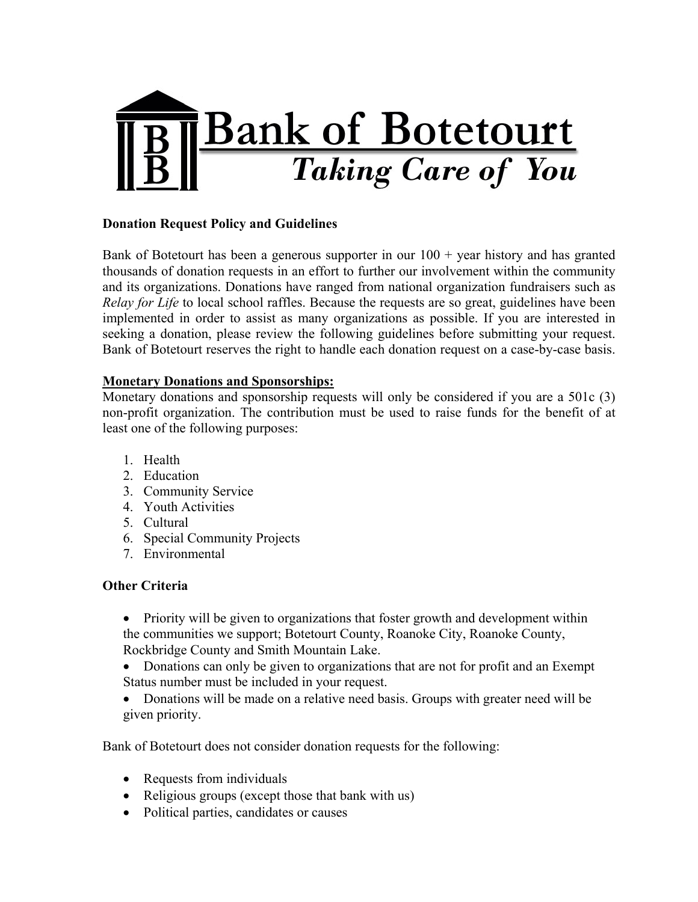

## **Donation Request Policy and Guidelines**

Bank of Botetourt has been a generous supporter in our  $100 + \text{year}$  history and has granted thousands of donation requests in an effort to further our involvement within the community and its organizations. Donations have ranged from national organization fundraisers such as *Relay for Life* to local school raffles. Because the requests are so great, guidelines have been implemented in order to assist as many organizations as possible. If you are interested in seeking a donation, please review the following guidelines before submitting your request. Bank of Botetourt reserves the right to handle each donation request on a case-by-case basis.

## **Monetary Donations and Sponsorships:**

Monetary donations and sponsorship requests will only be considered if you are a 501c (3) non-profit organization. The contribution must be used to raise funds for the benefit of at least one of the following purposes:

- 1. Health
- 2. Education
- 3. Community Service
- 4. Youth Activities
- 5. Cultural
- 6. Special Community Projects
- 7. Environmental

## **Other Criteria**

- Priority will be given to organizations that foster growth and development within the communities we support; Botetourt County, Roanoke City, Roanoke County, Rockbridge County and Smith Mountain Lake.
- Donations can only be given to organizations that are not for profit and an Exempt Status number must be included in your request.
- Donations will be made on a relative need basis. Groups with greater need will be given priority.

Bank of Botetourt does not consider donation requests for the following:

- Requests from individuals
- Religious groups (except those that bank with us)
- Political parties, candidates or causes